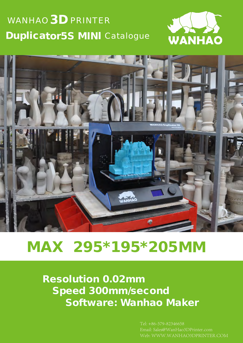## WANHAO  $\mathbf{3D}$  PRINTER Duplicator5S MINI Catalogue





# MAX 295\*195\*205MM

Resolution 0.02mm Speed 300mm/second Software: Wanhao Maker

> Tel: +86-579-82346658 Email: Sales@WanHao3DPrinter.com Web: WWW.WANHAO3DPRINTER.COM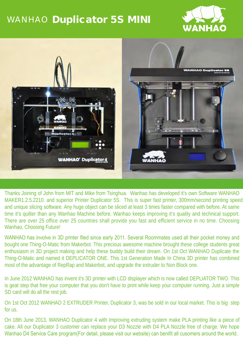## WANHAO Duplicator 5S MINI





MAKER1.2.5.2210. and superior Printer Duplicator 5S. This is super fast printer, 300mm/second printing speed Thanks Joining of John from MIT and Mike from Tsinghua. Wanhao has developed it's own Software WANHAO and unique slicing software. Any huge object can be sliced at least 3 times faster compared with before. At same time it's quilter than any Wanhao Machine before. Wanhao keeps improving it's quality and technical support. There are over 25 office over 25 countries shall provide you fast and efficient service in no time. Choosing Wanhao, Choosing Future!

WANHAO has involve in 3D printer filed since early 2011. Several Roommates used all their pocket money and bought one Thing-O-Matic from Makerbot. This precious awesome machine brought these college students great enthusiasm in 3D project making and help these buddy build their dream. On 1st Oct WANHAO Duplicate the Thing-O-Matic and named it DEPLICATOR ONE. This 1st Generation Made In China 3D printer has combined most of the advantage of RepRap and Makerbot, and upgrade the extruder to Non Block one.

In June 2012 WANHAO has invent it's 3D printer with LCD displayer which is now called DEPLIATOR TWO. This is geat step that free your computer that you don't have to print while keep your computer running. Just a simple SD card will do all the rest job.

On 1st Oct 2012 WANHAO 2 EXTRUDER Printer, Duplicator 3, was be sold in our local market. This is big step for us.

On 18th June 2013, WANHAO Duplicator 4 with Improving extruding system make PLA printing like a piece of cake. All our Duplicator 3 customer can replace your D3 Nozzle with D4 PLA Nozzle free of charge. We hope Wanhao D4 Service Care program(For detail, please visit our website) can benifit all cusomers around the world.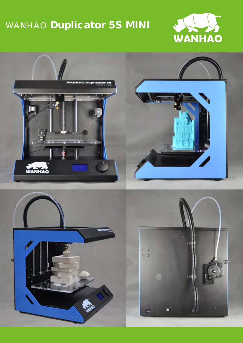## WANHAO Duplicator 5S MINI





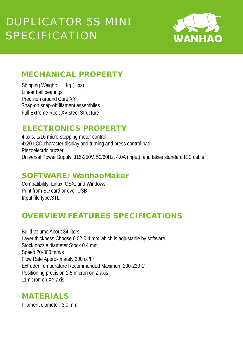

#### MECHANICAL PROPERTY

 $kq$  ( lbs) Snap-on,snap-off filament assemblies Shipping Weight: Linear ball bearings Precision ground Core XY. Full Extreme Rock XV steel Structure

#### ELECTRONICS PROPERTY

 4 axis, 1/16 micro-stepping motor control 4x20 LCD character display and turning and press control pad Piezoelectric buzzer Universal Power Supply: 115-250V, 50/60Hz, 4.0A (input), and takes standard IEC cable

#### SOFTWARE: WanhaoMaker

Input file type:STL Compatibility: Linux, OSX, and Windows Print from SD card or over USB

#### OVERVIEW FEATURES SPECIFICATIONS

Build volume About 34 liters Layer thickness Choose 0.02-0.4 mm which is adjustable by software Stock nozzle diameter Stock 0.4 mm Speed 20-300 mm/s Flow Rate Approximately 200 cc/hr Extruder Temperature Recommended Maximum 200-230 C Positioning precision 2.5 micron on Z axis 11micron on XY axis

#### MATERIALS

Filament diameter: 3.0 mm